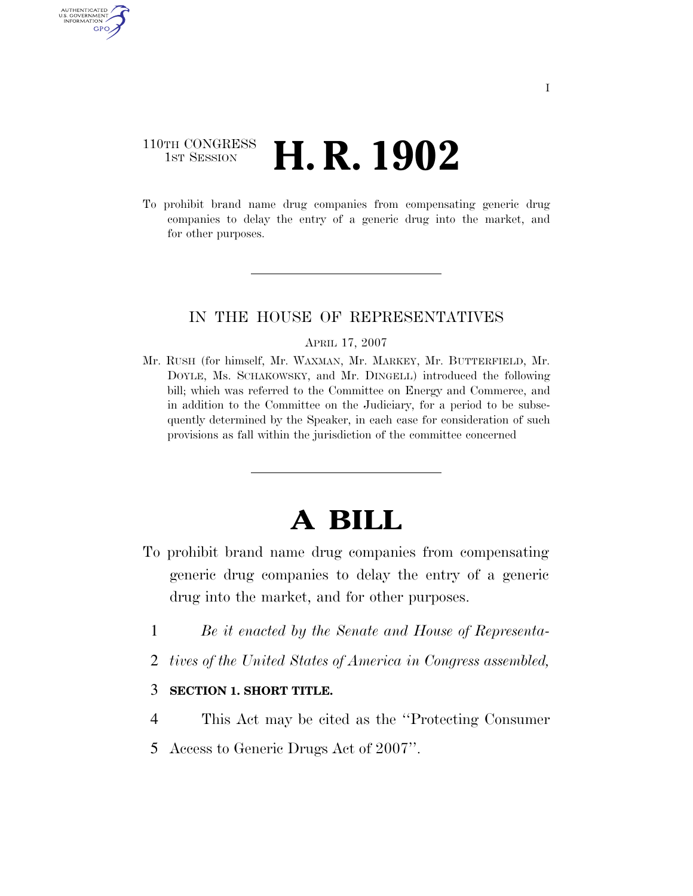### 110TH CONGRESS **1st Session H. R. 1902**

AUTHENTICATED U.S. GOVERNMENT GPO

> To prohibit brand name drug companies from compensating generic drug companies to delay the entry of a generic drug into the market, and for other purposes.

#### IN THE HOUSE OF REPRESENTATIVES

#### APRIL 17, 2007

Mr. RUSH (for himself, Mr. WAXMAN, Mr. MARKEY, Mr. BUTTERFIELD, Mr. DOYLE, Ms. SCHAKOWSKY, and Mr. DINGELL) introduced the following bill; which was referred to the Committee on Energy and Commerce, and in addition to the Committee on the Judiciary, for a period to be subsequently determined by the Speaker, in each case for consideration of such provisions as fall within the jurisdiction of the committee concerned

# **A BILL**

- To prohibit brand name drug companies from compensating generic drug companies to delay the entry of a generic drug into the market, and for other purposes.
	- 1 *Be it enacted by the Senate and House of Representa-*
	- 2 *tives of the United States of America in Congress assembled,*

#### 3 **SECTION 1. SHORT TITLE.**

- 4 This Act may be cited as the ''Protecting Consumer
- 5 Access to Generic Drugs Act of 2007''.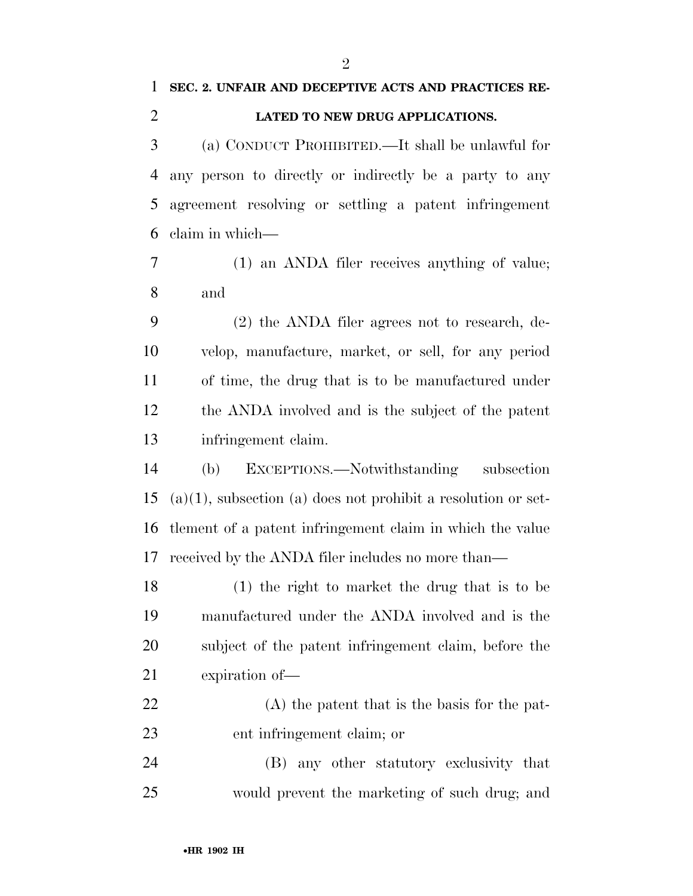### **SEC. 2. UNFAIR AND DECEPTIVE ACTS AND PRACTICES RE-LATED TO NEW DRUG APPLICATIONS.**

 (a) CONDUCT PROHIBITED.—It shall be unlawful for any person to directly or indirectly be a party to any agreement resolving or settling a patent infringement claim in which—

 (1) an ANDA filer receives anything of value; and

 (2) the ANDA filer agrees not to research, de- velop, manufacture, market, or sell, for any period of time, the drug that is to be manufactured under the ANDA involved and is the subject of the patent infringement claim.

 (b) EXCEPTIONS.—Notwithstanding subsection (a)(1), subsection (a) does not prohibit a resolution or set- tlement of a patent infringement claim in which the value received by the ANDA filer includes no more than—

 (1) the right to market the drug that is to be manufactured under the ANDA involved and is the subject of the patent infringement claim, before the expiration of—

 (A) the patent that is the basis for the pat-ent infringement claim; or

 (B) any other statutory exclusivity that would prevent the marketing of such drug; and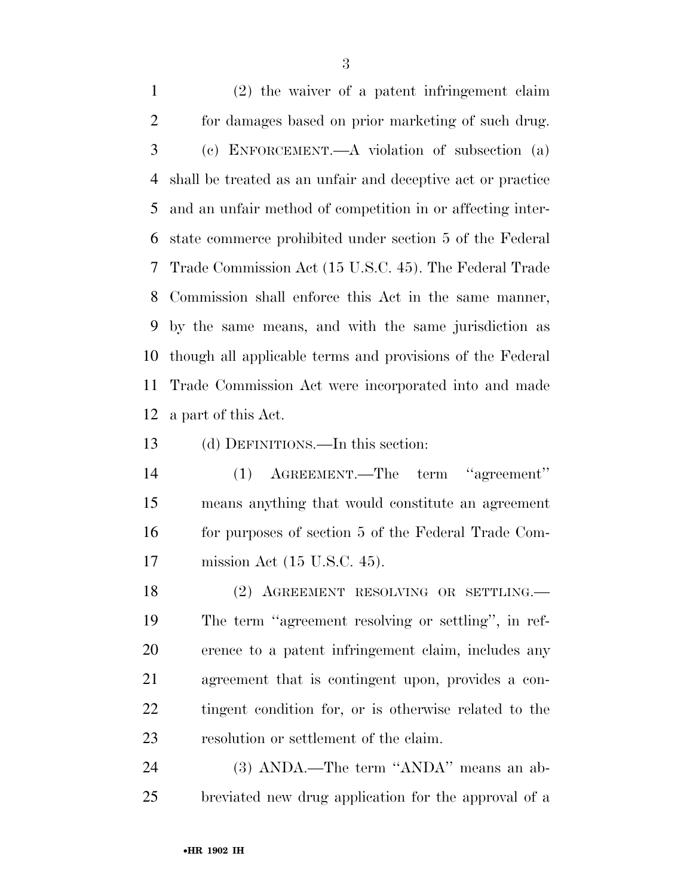(2) the waiver of a patent infringement claim for damages based on prior marketing of such drug. (c) ENFORCEMENT.—A violation of subsection (a) shall be treated as an unfair and deceptive act or practice and an unfair method of competition in or affecting inter- state commerce prohibited under section 5 of the Federal Trade Commission Act (15 U.S.C. 45). The Federal Trade Commission shall enforce this Act in the same manner, by the same means, and with the same jurisdiction as though all applicable terms and provisions of the Federal Trade Commission Act were incorporated into and made a part of this Act.

(d) DEFINITIONS.—In this section:

 (1) AGREEMENT.—The term ''agreement'' means anything that would constitute an agreement for purposes of section 5 of the Federal Trade Com-mission Act (15 U.S.C. 45).

18 (2) AGREEMENT RESOLVING OR SETTLING. The term ''agreement resolving or settling'', in ref- erence to a patent infringement claim, includes any agreement that is contingent upon, provides a con- tingent condition for, or is otherwise related to the resolution or settlement of the claim.

 (3) ANDA.—The term ''ANDA'' means an ab-breviated new drug application for the approval of a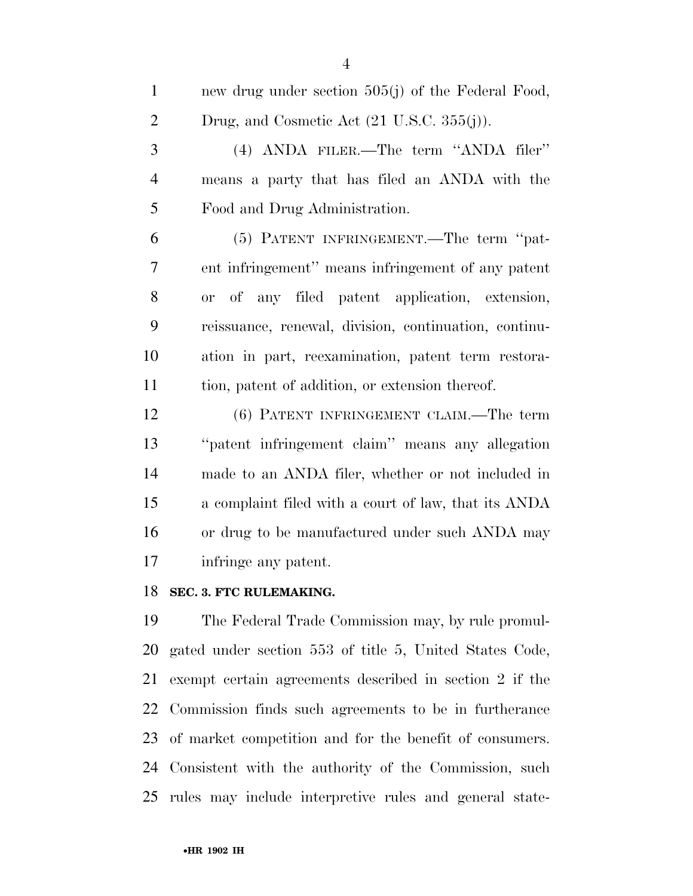| $\mathbf{1}$   | new drug under section 505(j) of the Federal Food,                              |
|----------------|---------------------------------------------------------------------------------|
| $\overline{2}$ | Drug, and Cosmetic Act $(21 \text{ U.S.C. } 355(j)).$                           |
| 3              | (4) ANDA FILER.—The term "ANDA filer"                                           |
| $\overline{4}$ | means a party that has filed an ANDA with the                                   |
| 5              | Food and Drug Administration.                                                   |
| 6              | (5) PATENT INFRINGEMENT.—The term "pat-                                         |
| 7              | ent infringement" means infringement of any patent                              |
| 8              | of any filed patent application, extension,<br><sub>or</sub>                    |
| 9              | reissuance, renewal, division, continuation, continu-                           |
| 10             | ation in part, reexamination, patent term restora-                              |
| 11             | tion, patent of addition, or extension thereof.                                 |
| 12             | (6) PATENT INFRINGEMENT CLAIM.—The term                                         |
| 13             | "patent infringement claim" means any allegation                                |
| 14             | made to an ANDA filer, whether or not included in                               |
| 15             | a complaint filed with a court of law, that its ANDA                            |
| 16             | or drug to be manufactured under such ANDA may                                  |
| 17             | infringe any patent.                                                            |
| 18             | SEC. 3. FTC RULEMAKING.                                                         |
| 19             | The Federal Trade Commission may, by rule promul-                               |
| $\sim$ $\sim$  | $\mathbf{r}$ and $\mathbf{r}$ are $\mathbf{r}$ and $\mathbf{r}$ is $\mathbf{r}$ |

 gated under section 553 of title 5, United States Code, exempt certain agreements described in section 2 if the Commission finds such agreements to be in furtherance of market competition and for the benefit of consumers. Consistent with the authority of the Commission, such rules may include interpretive rules and general state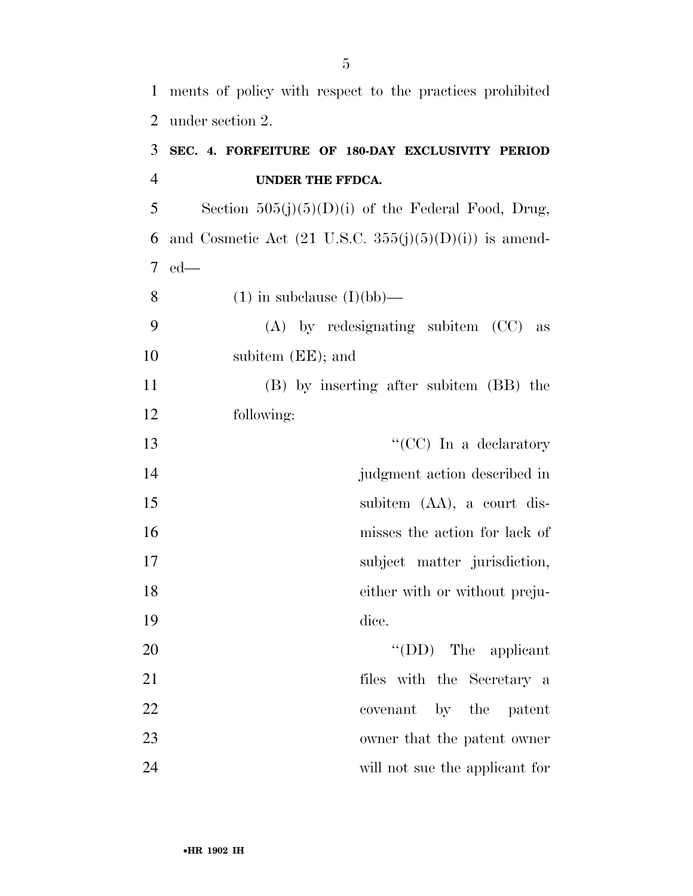ments of policy with respect to the practices prohibited under section 2.

## **SEC. 4. FORFEITURE OF 180-DAY EXCLUSIVITY PERIOD UNDER THE FFDCA.**

5 Section  $505(j)(5)(D)(i)$  of the Federal Food, Drug, 6 and Cosmetic Act  $(21 \text{ U.S.C. } 355(j)(5)(D)(i))$  is amend-ed—

8 (1) in subclause  $(I)(bb)$ —

 (A) by redesignating subitem (CC) as subitem (EE); and

 (B) by inserting after subitem (BB) the following:

| 13 | "(CC) In a declaratory        |
|----|-------------------------------|
| 14 | judgment action described in  |
| 15 | subitem (AA), a court dis-    |
| 16 | misses the action for lack of |
| 17 | subject matter jurisdiction,  |
| 18 | either with or without preju- |
| 19 | dice.                         |
| 20 | $\lq\lq$ (DD) The applicant   |
| 21 | files with the Secretary a    |
| 22 | covenant by the patent        |
|    |                               |

 owner that the patent owner will not sue the applicant for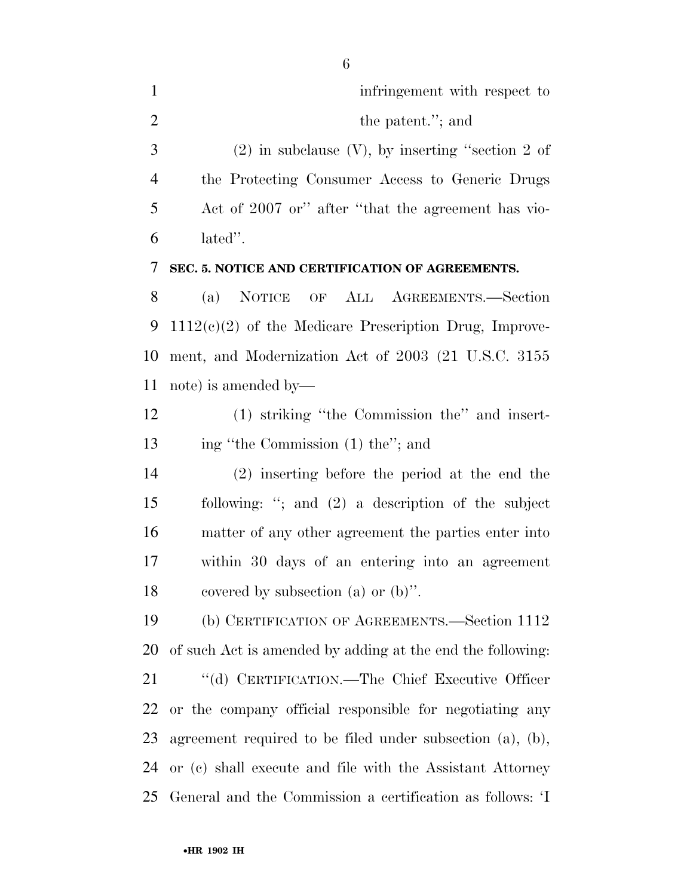| $\mathbf{1}$   | infringement with respect to                          |
|----------------|-------------------------------------------------------|
| 2              | the patent."; and                                     |
| 3              | $(2)$ in subclause $(V)$ , by inserting "section 2 of |
| $\overline{4}$ | the Protecting Consumer Access to Generic Drugs       |
| 5              | Act of 2007 or" after "that the agreement has vio-    |
| 6              | lated".                                               |

#### **SEC. 5. NOTICE AND CERTIFICATION OF AGREEMENTS.**

 (a) NOTICE OF ALL AGREEMENTS.—Section 1112(c)(2) of the Medicare Prescription Drug, Improve- ment, and Modernization Act of 2003 (21 U.S.C. 3155 note) is amended by—

 (1) striking ''the Commission the'' and insert-13 ing "the Commission (1) the"; and

 (2) inserting before the period at the end the following: ''; and (2) a description of the subject matter of any other agreement the parties enter into within 30 days of an entering into an agreement covered by subsection (a) or (b)''.

 (b) CERTIFICATION OF AGREEMENTS.—Section 1112 of such Act is amended by adding at the end the following: ''(d) CERTIFICATION.—The Chief Executive Officer or the company official responsible for negotiating any agreement required to be filed under subsection (a), (b), or (c) shall execute and file with the Assistant Attorney General and the Commission a certification as follows: 'I